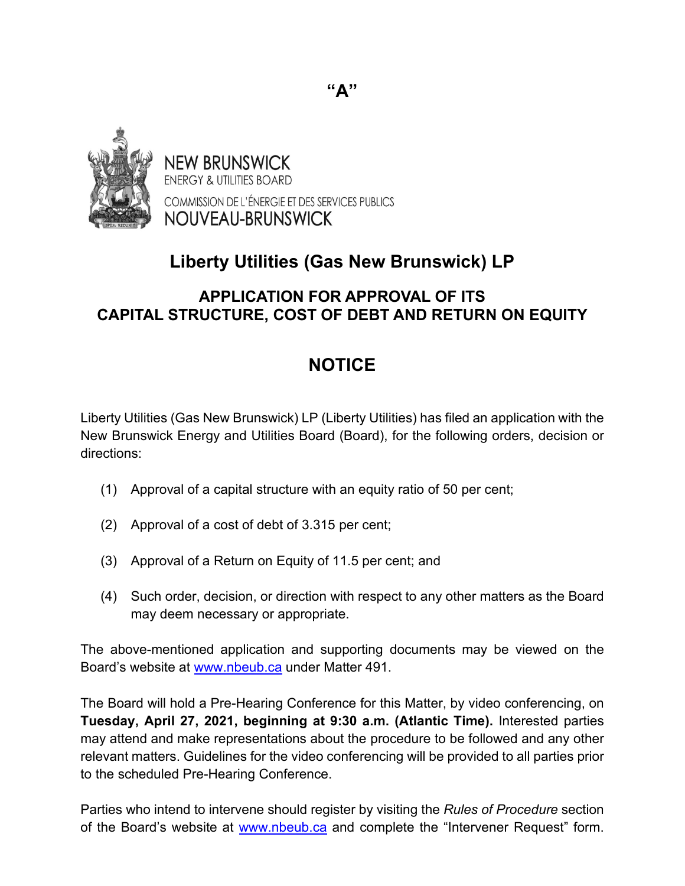

**NEW BRUNSWICK ENERGY & UTILITIES BOARD** COMMISSION DE L'ÉNERGIE ET DES SERVICES PUBLICS NOUVEAU-BRUNSWICK

## **Liberty Utilities (Gas New Brunswick) LP**

## **APPLICATION FOR APPROVAL OF ITS CAPITAL STRUCTURE, COST OF DEBT AND RETURN ON EQUITY**

## **NOTICE**

Liberty Utilities (Gas New Brunswick) LP (Liberty Utilities) has filed an application with the New Brunswick Energy and Utilities Board (Board), for the following orders, decision or directions:

- (1) Approval of a capital structure with an equity ratio of 50 per cent;
- (2) Approval of a cost of debt of 3.315 per cent;
- (3) Approval of a Return on Equity of 11.5 per cent; and
- (4) Such order, decision, or direction with respect to any other matters as the Board may deem necessary or appropriate.

The above-mentioned application and supporting documents may be viewed on the Board's website at [www.nbeub.ca](http://www.nbeub.ca/) under Matter 491.

The Board will hold a Pre-Hearing Conference for this Matter, by video conferencing, on **Tuesday, April 27, 2021, beginning at 9:30 a.m. (Atlantic Time).** Interested parties may attend and make representations about the procedure to be followed and any other relevant matters. Guidelines for the video conferencing will be provided to all parties prior to the scheduled Pre-Hearing Conference.

Parties who intend to intervene should register by visiting the *Rules of Procedure* section of the Board's website at [www.nbeub.ca](http://www.nbeub.ca/) and complete the "Intervener Request" form.